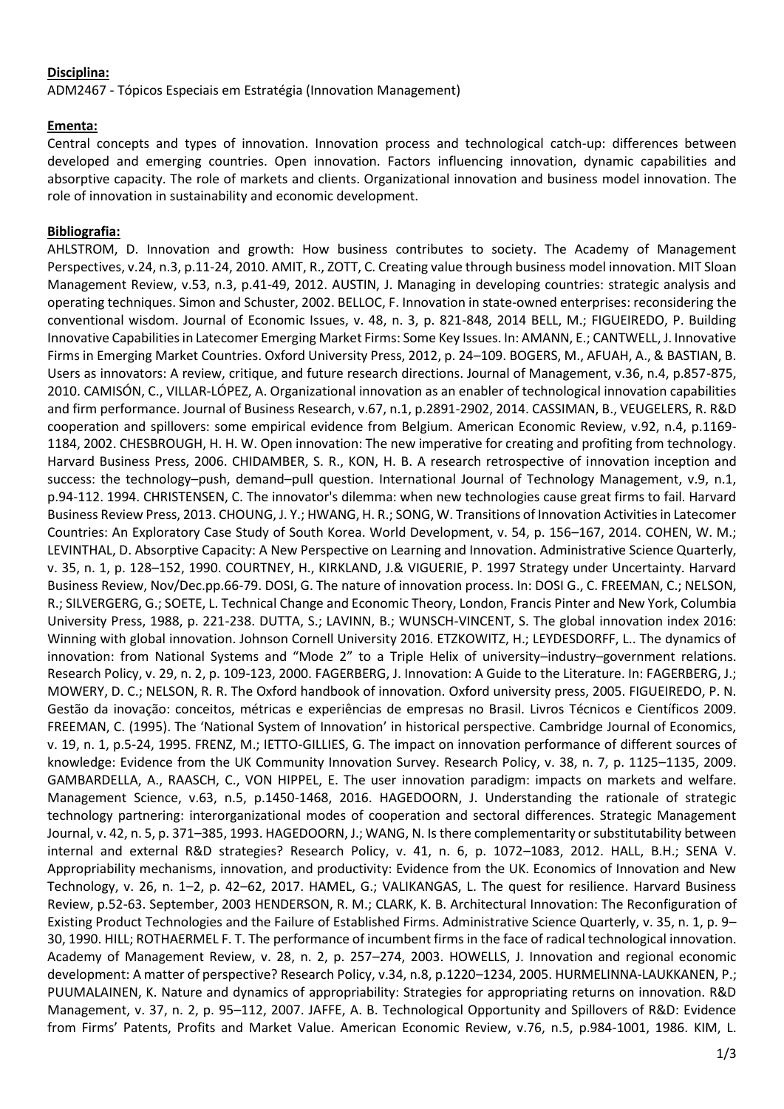## **Disciplina:**

ADM2467 - Tópicos Especiais em Estratégia (Innovation Management)

## **Ementa:**

Central concepts and types of innovation. Innovation process and technological catch-up: differences between developed and emerging countries. Open innovation. Factors influencing innovation, dynamic capabilities and absorptive capacity. The role of markets and clients. Organizational innovation and business model innovation. The role of innovation in sustainability and economic development.

## **Bibliografia:**

AHLSTROM, D. Innovation and growth: How business contributes to society. The Academy of Management Perspectives, v.24, n.3, p.11-24, 2010. AMIT, R., ZOTT, C. Creating value through business model innovation. MIT Sloan Management Review, v.53, n.3, p.41-49, 2012. AUSTIN, J. Managing in developing countries: strategic analysis and operating techniques. Simon and Schuster, 2002. BELLOC, F. Innovation in state-owned enterprises: reconsidering the conventional wisdom. Journal of Economic Issues, v. 48, n. 3, p. 821-848, 2014 BELL, M.; FIGUEIREDO, P. Building Innovative Capabilities in Latecomer Emerging Market Firms: Some Key Issues. In: AMANN, E.; CANTWELL, J. Innovative Firms in Emerging Market Countries. Oxford University Press, 2012, p. 24–109. BOGERS, M., AFUAH, A., & BASTIAN, B. Users as innovators: A review, critique, and future research directions. Journal of Management, v.36, n.4, p.857-875, 2010. CAMISÓN, C., VILLAR-LÓPEZ, A. Organizational innovation as an enabler of technological innovation capabilities and firm performance. Journal of Business Research, v.67, n.1, p.2891-2902, 2014. CASSIMAN, B., VEUGELERS, R. R&D cooperation and spillovers: some empirical evidence from Belgium. American Economic Review, v.92, n.4, p.1169- 1184, 2002. CHESBROUGH, H. H. W. Open innovation: The new imperative for creating and profiting from technology. Harvard Business Press, 2006. CHIDAMBER, S. R., KON, H. B. A research retrospective of innovation inception and success: the technology–push, demand–pull question. International Journal of Technology Management, v.9, n.1, p.94-112. 1994. CHRISTENSEN, C. The innovator's dilemma: when new technologies cause great firms to fail. Harvard Business Review Press, 2013. CHOUNG, J. Y.; HWANG, H. R.; SONG, W. Transitions of Innovation Activities in Latecomer Countries: An Exploratory Case Study of South Korea. World Development, v. 54, p. 156–167, 2014. COHEN, W. M.; LEVINTHAL, D. Absorptive Capacity: A New Perspective on Learning and Innovation. Administrative Science Quarterly, v. 35, n. 1, p. 128–152, 1990. COURTNEY, H., KIRKLAND, J.& VIGUERIE, P. 1997 Strategy under Uncertainty. Harvard Business Review, Nov/Dec.pp.66-79. DOSI, G. The nature of innovation process. In: DOSI G., C. FREEMAN, C.; NELSON, R.; SILVERGERG, G.; SOETE, L. Technical Change and Economic Theory, London, Francis Pinter and New York, Columbia University Press, 1988, p. 221-238. DUTTA, S.; LAVINN, B.; WUNSCH-VINCENT, S. The global innovation index 2016: Winning with global innovation. Johnson Cornell University 2016. ETZKOWITZ, H.; LEYDESDORFF, L.. The dynamics of innovation: from National Systems and "Mode 2" to a Triple Helix of university–industry–government relations. Research Policy, v. 29, n. 2, p. 109-123, 2000. FAGERBERG, J. Innovation: A Guide to the Literature. In: FAGERBERG, J.; MOWERY, D. C.; NELSON, R. R. The Oxford handbook of innovation. Oxford university press, 2005. FIGUEIREDO, P. N. Gestão da inovação: conceitos, métricas e experiências de empresas no Brasil. Livros Técnicos e Científicos 2009. FREEMAN, C. (1995). The 'National System of Innovation' in historical perspective. Cambridge Journal of Economics, v. 19, n. 1, p.5-24, 1995. FRENZ, M.; IETTO-GILLIES, G. The impact on innovation performance of different sources of knowledge: Evidence from the UK Community Innovation Survey. Research Policy, v. 38, n. 7, p. 1125–1135, 2009. GAMBARDELLA, A., RAASCH, C., VON HIPPEL, E. The user innovation paradigm: impacts on markets and welfare. Management Science, v.63, n.5, p.1450-1468, 2016. HAGEDOORN, J. Understanding the rationale of strategic technology partnering: interorganizational modes of cooperation and sectoral differences. Strategic Management Journal, v. 42, n. 5, p. 371–385, 1993. HAGEDOORN, J.; WANG, N. Is there complementarity or substitutability between internal and external R&D strategies? Research Policy, v. 41, n. 6, p. 1072–1083, 2012. HALL, B.H.; SENA V. Appropriability mechanisms, innovation, and productivity: Evidence from the UK. Economics of Innovation and New Technology, v. 26, n. 1–2, p. 42–62, 2017. HAMEL, G.; VALIKANGAS, L. The quest for resilience. Harvard Business Review, p.52-63. September, 2003 HENDERSON, R. M.; CLARK, K. B. Architectural Innovation: The Reconfiguration of Existing Product Technologies and the Failure of Established Firms. Administrative Science Quarterly, v. 35, n. 1, p. 9– 30, 1990. HILL; ROTHAERMEL F. T. The performance of incumbent firms in the face of radical technological innovation. Academy of Management Review, v. 28, n. 2, p. 257–274, 2003. HOWELLS, J. Innovation and regional economic development: A matter of perspective? Research Policy, v.34, n.8, p.1220–1234, 2005. HURMELINNA-LAUKKANEN, P.; PUUMALAINEN, K. Nature and dynamics of appropriability: Strategies for appropriating returns on innovation. R&D Management, v. 37, n. 2, p. 95–112, 2007. JAFFE, A. B. Technological Opportunity and Spillovers of R&D: Evidence from Firms' Patents, Profits and Market Value. American Economic Review, v.76, n.5, p.984-1001, 1986. KIM, L.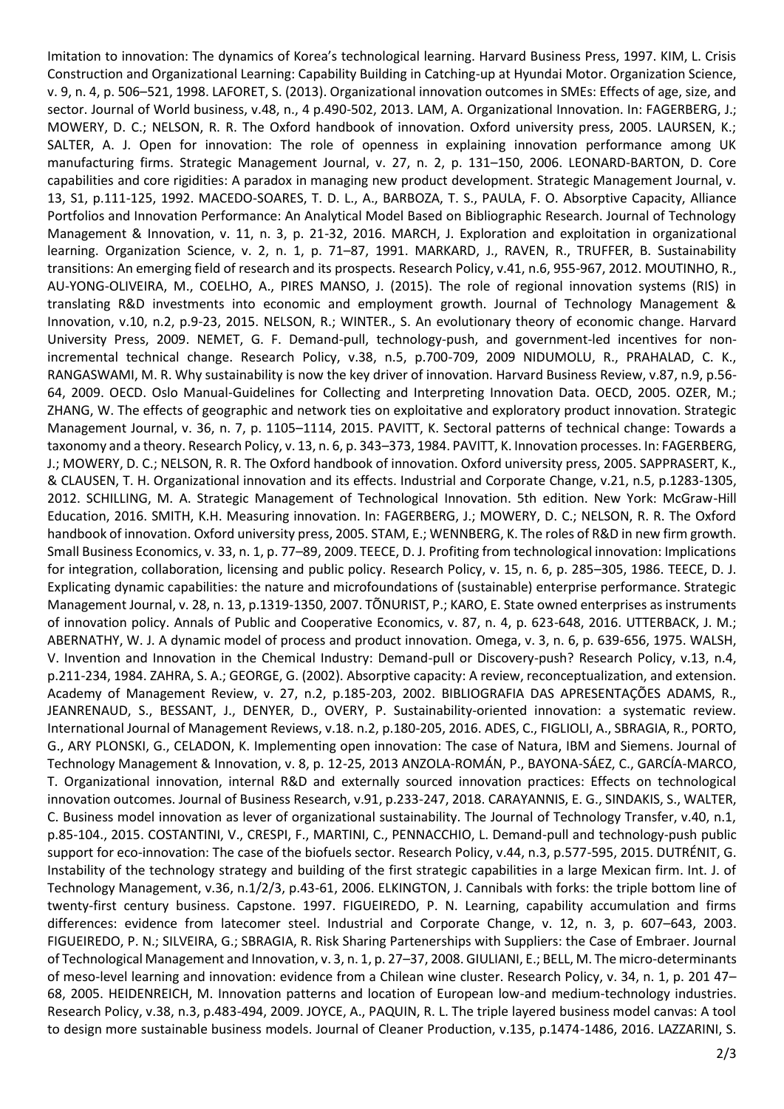Imitation to innovation: The dynamics of Korea's technological learning. Harvard Business Press, 1997. KIM, L. Crisis Construction and Organizational Learning: Capability Building in Catching-up at Hyundai Motor. Organization Science, v. 9, n. 4, p. 506–521, 1998. LAFORET, S. (2013). Organizational innovation outcomes in SMEs: Effects of age, size, and sector. Journal of World business, v.48, n., 4 p.490-502, 2013. LAM, A. Organizational Innovation. In: FAGERBERG, J.; MOWERY, D. C.; NELSON, R. R. The Oxford handbook of innovation. Oxford university press, 2005. LAURSEN, K.; SALTER, A. J. Open for innovation: The role of openness in explaining innovation performance among UK manufacturing firms. Strategic Management Journal, v. 27, n. 2, p. 131–150, 2006. LEONARD‐BARTON, D. Core capabilities and core rigidities: A paradox in managing new product development. Strategic Management Journal, v. 13, S1, p.111-125, 1992. MACEDO-SOARES, T. D. L., A., BARBOZA, T. S., PAULA, F. O. Absorptive Capacity, Alliance Portfolios and Innovation Performance: An Analytical Model Based on Bibliographic Research. Journal of Technology Management & Innovation, v. 11, n. 3, p. 21-32, 2016. MARCH, J. Exploration and exploitation in organizational learning. Organization Science, v. 2, n. 1, p. 71–87, 1991. MARKARD, J., RAVEN, R., TRUFFER, B. Sustainability transitions: An emerging field of research and its prospects. Research Policy, v.41, n.6, 955-967, 2012. MOUTINHO, R., AU-YONG-OLIVEIRA, M., COELHO, A., PIRES MANSO, J. (2015). The role of regional innovation systems (RIS) in translating R&D investments into economic and employment growth. Journal of Technology Management & Innovation, v.10, n.2, p.9-23, 2015. NELSON, R.; WINTER., S. An evolutionary theory of economic change. Harvard University Press, 2009. NEMET, G. F. Demand-pull, technology-push, and government-led incentives for nonincremental technical change. Research Policy, v.38, n.5, p.700-709, 2009 NIDUMOLU, R., PRAHALAD, C. K., RANGASWAMI, M. R. Why sustainability is now the key driver of innovation. Harvard Business Review, v.87, n.9, p.56- 64, 2009. OECD. Oslo Manual-Guidelines for Collecting and Interpreting Innovation Data. OECD, 2005. OZER, M.; ZHANG, W. The effects of geographic and network ties on exploitative and exploratory product innovation. Strategic Management Journal, v. 36, n. 7, p. 1105–1114, 2015. PAVITT, K. Sectoral patterns of technical change: Towards a taxonomy and a theory. Research Policy, v. 13, n. 6, p. 343–373, 1984. PAVITT, K. Innovation processes. In: FAGERBERG, J.; MOWERY, D. C.; NELSON, R. R. The Oxford handbook of innovation. Oxford university press, 2005. SAPPRASERT, K., & CLAUSEN, T. H. Organizational innovation and its effects. Industrial and Corporate Change, v.21, n.5, p.1283-1305, 2012. SCHILLING, M. A. Strategic Management of Technological Innovation. 5th edition. New York: McGraw-Hill Education, 2016. SMITH, K.H. Measuring innovation. In: FAGERBERG, J.; MOWERY, D. C.; NELSON, R. R. The Oxford handbook of innovation. Oxford university press, 2005. STAM, E.; WENNBERG, K. The roles of R&D in new firm growth. Small Business Economics, v. 33, n. 1, p. 77–89, 2009. TEECE, D. J. Profiting from technological innovation: Implications for integration, collaboration, licensing and public policy. Research Policy, v. 15, n. 6, p. 285–305, 1986. TEECE, D. J. Explicating dynamic capabilities: the nature and microfoundations of (sustainable) enterprise performance. Strategic Management Journal, v. 28, n. 13, p.1319-1350, 2007. TÕNURIST, P.; KARO, E. State owned enterprises as instruments of innovation policy. Annals of Public and Cooperative Economics, v. 87, n. 4, p. 623-648, 2016. UTTERBACK, J. M.; ABERNATHY, W. J. A dynamic model of process and product innovation. Omega, v. 3, n. 6, p. 639-656, 1975. WALSH, V. Invention and Innovation in the Chemical Industry: Demand-pull or Discovery-push? Research Policy, v.13, n.4, p.211-234, 1984. ZAHRA, S. A.; GEORGE, G. (2002). Absorptive capacity: A review, reconceptualization, and extension. Academy of Management Review, v. 27, n.2, p.185-203, 2002. BIBLIOGRAFIA DAS APRESENTAÇÕES ADAMS, R., JEANRENAUD, S., BESSANT, J., DENYER, D., OVERY, P. Sustainability-oriented innovation: a systematic review. International Journal of Management Reviews, v.18. n.2, p.180-205, 2016. ADES, C., FIGLIOLI, A., SBRAGIA, R., PORTO, G., ARY PLONSKI, G., CELADON, K. Implementing open innovation: The case of Natura, IBM and Siemens. Journal of Technology Management & Innovation, v. 8, p. 12-25, 2013 ANZOLA-ROMÁN, P., BAYONA-SÁEZ, C., GARCÍA-MARCO, T. Organizational innovation, internal R&D and externally sourced innovation practices: Effects on technological innovation outcomes. Journal of Business Research, v.91, p.233-247, 2018. CARAYANNIS, E. G., SINDAKIS, S., WALTER, C. Business model innovation as lever of organizational sustainability. The Journal of Technology Transfer, v.40, n.1, p.85-104., 2015. COSTANTINI, V., CRESPI, F., MARTINI, C., PENNACCHIO, L. Demand-pull and technology-push public support for eco-innovation: The case of the biofuels sector. Research Policy, v.44, n.3, p.577-595, 2015. DUTRÉNIT, G. Instability of the technology strategy and building of the first strategic capabilities in a large Mexican firm. Int. J. of Technology Management, v.36, n.1/2/3, p.43-61, 2006. ELKINGTON, J. Cannibals with forks: the triple bottom line of twenty-first century business. Capstone. 1997. FIGUEIREDO, P. N. Learning, capability accumulation and firms differences: evidence from latecomer steel. Industrial and Corporate Change, v. 12, n. 3, p. 607–643, 2003. FIGUEIREDO, P. N.; SILVEIRA, G.; SBRAGIA, R. Risk Sharing Partenerships with Suppliers: the Case of Embraer. Journal of Technological Management and Innovation, v. 3, n. 1, p. 27–37, 2008. GIULIANI, E.; BELL, M. The micro-determinants of meso-level learning and innovation: evidence from a Chilean wine cluster. Research Policy, v. 34, n. 1, p. 201 47– 68, 2005. HEIDENREICH, M. Innovation patterns and location of European low-and medium-technology industries. Research Policy, v.38, n.3, p.483-494, 2009. JOYCE, A., PAQUIN, R. L. The triple layered business model canvas: A tool to design more sustainable business models. Journal of Cleaner Production, v.135, p.1474-1486, 2016. LAZZARINI, S.